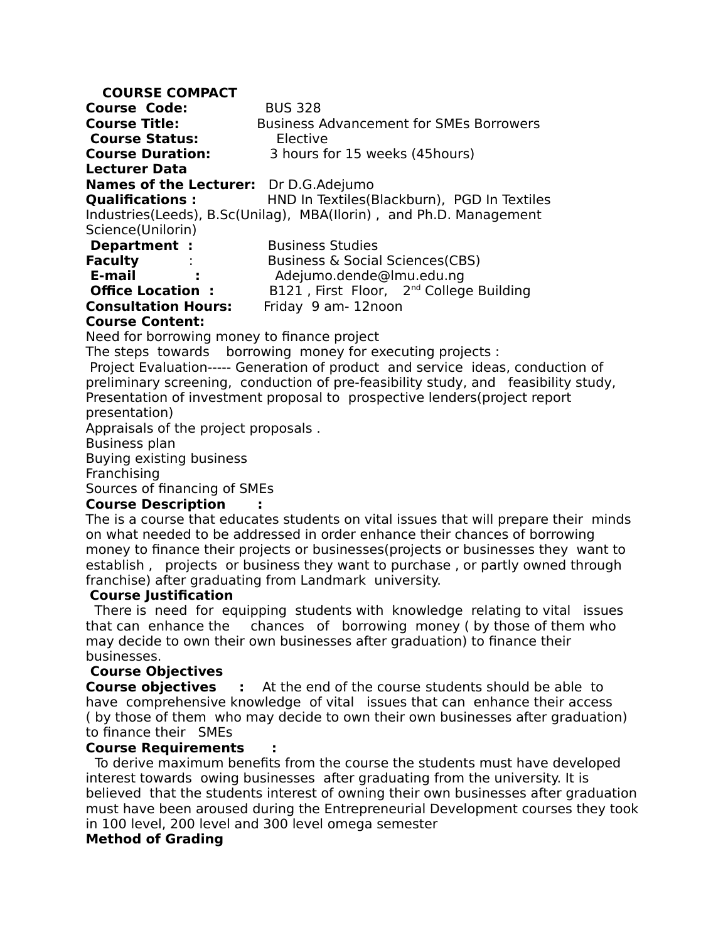### **COURSE COMPACT**

**Course Code:** BUS 328 **Course Title:** Business Advancement for SMEs Borrowers **Course Status:** Elective **Course Duration:** 3 hours for 15 weeks (45hours) **Lecturer Data Names of the Lecturer:** Dr D.G.Adejumo **Qualifications :** HND In Textiles(Blackburn), PGD In Textiles Industries(Leeds), B.Sc(Unilag), MBA(Ilorin) , and Ph.D. Management Science(Unilorin) **Department :** Business Studies **Faculty** : Business & Social Sciences(CBS)  **E-mail :** Adejumo.dende@lmu.edu.ng **Office Location :** B121, First Floor, 2<sup>nd</sup> College Building **Consultation Hours:** Friday 9 am- 12noon

#### **Course Content:**

Need for borrowing money to finance project

The steps towards borrowing money for executing projects :

 Project Evaluation----- Generation of product and service ideas, conduction of preliminary screening, conduction of pre-feasibility study, and feasibility study, Presentation of investment proposal to prospective lenders(project report presentation)

Appraisals of the project proposals .

Business plan

Buying existing business

Franchising

Sources of financing of SMEs

#### **Course Description :**

The is a course that educates students on vital issues that will prepare their minds on what needed to be addressed in order enhance their chances of borrowing money to finance their projects or businesses(projects or businesses they want to establish , projects or business they want to purchase , or partly owned through franchise) after graduating from Landmark university.

#### **Course Justification**

 There is need for equipping students with knowledge relating to vital issues that can enhance the chances of borrowing money ( by those of them who may decide to own their own businesses after graduation) to finance their businesses.

### **Course Objectives**

**Course objectives** : At the end of the course students should be able to have comprehensive knowledge of vital issues that can enhance their access ( by those of them who may decide to own their own businesses after graduation) to finance their SMEs

#### **Course Requirements :**

To derive maximum benefits from the course the students must have developed interest towards owing businesses after graduating from the university. It is believed that the students interest of owning their own businesses after graduation must have been aroused during the Entrepreneurial Development courses they took in 100 level, 200 level and 300 level omega semester

### **Method of Grading**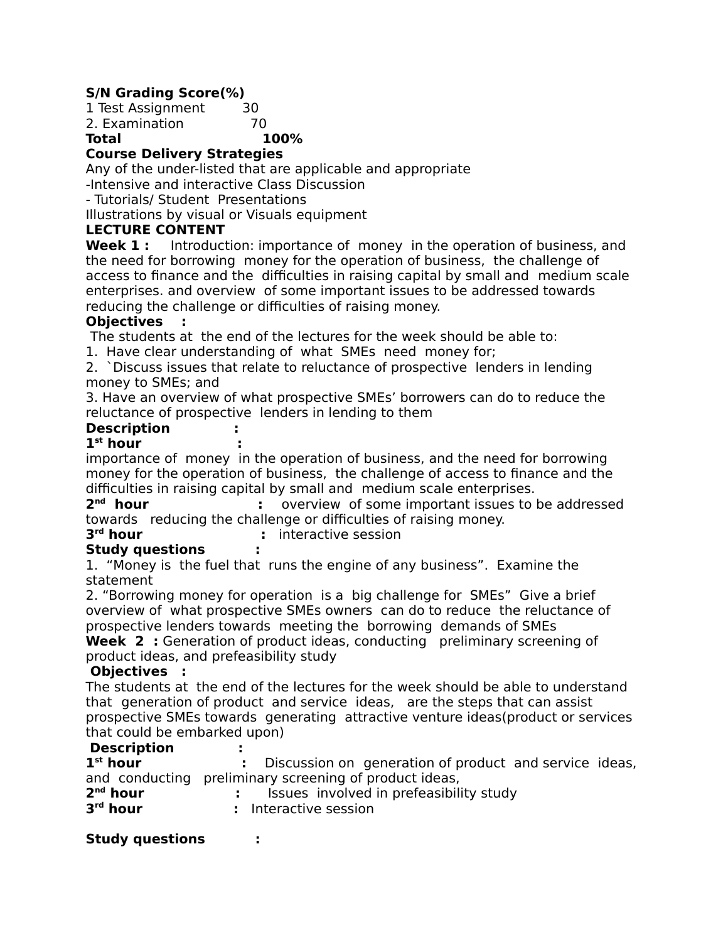# **S/N Grading Score(%)**

1 Test Assignment 30 2. Examination 70

**Total 100%**

# **Course Delivery Strategies**

Any of the under-listed that are applicable and appropriate

-Intensive and interactive Class Discussion

- Tutorials/ Student Presentations

Illustrations by visual or Visuals equipment

## **LECTURE CONTENT**

**Week 1:** Introduction: importance of money in the operation of business, and the need for borrowing money for the operation of business, the challenge of access to finance and the difficulties in raising capital by small and medium scale enterprises. and overview of some important issues to be addressed towards reducing the challenge or difficulties of raising money.

## **Objectives :**

The students at the end of the lectures for the week should be able to:

1. Have clear understanding of what SMEs need money for;

2. `Discuss issues that relate to reluctance of prospective lenders in lending money to SMEs; and

3. Have an overview of what prospective SMEs' borrowers can do to reduce the reluctance of prospective lenders in lending to them

# **Description :**

### **1 st hour :**

importance of money in the operation of business, and the need for borrowing money for the operation of business, the challenge of access to finance and the difficulties in raising capital by small and medium scale enterprises.

2<sup>nd</sup> hour **:** overview of some important issues to be addressed towards reducing the challenge or difficulties of raising money.

#### 3<sup>rd</sup> hour *r* interactive session

### **Study questions :**

1. "Money is the fuel that runs the engine of any business". Examine the statement

2. "Borrowing money for operation is a big challenge for SMEs" Give a brief overview of what prospective SMEs owners can do to reduce the reluctance of prospective lenders towards meeting the borrowing demands of SMEs

**Week 2:** Generation of product ideas, conducting preliminary screening of product ideas, and prefeasibility study

### **Objectives :**

The students at the end of the lectures for the week should be able to understand thatgeneration of product and service ideas, are the steps that can assist prospective SMEs towards generating attractive venture ideas(product or services that could be embarked upon)

## **Description :**

1<sup>st</sup> hour **EXECT EXECT hourgeneration of product and service ideas,** and conducting preliminary screening of product ideas,

| 2 <sup>nd</sup> hour | Issues involved in prefeasibility study |
|----------------------|-----------------------------------------|
| $3rd$ hour           | : Interactive session                   |

### **Study questions :**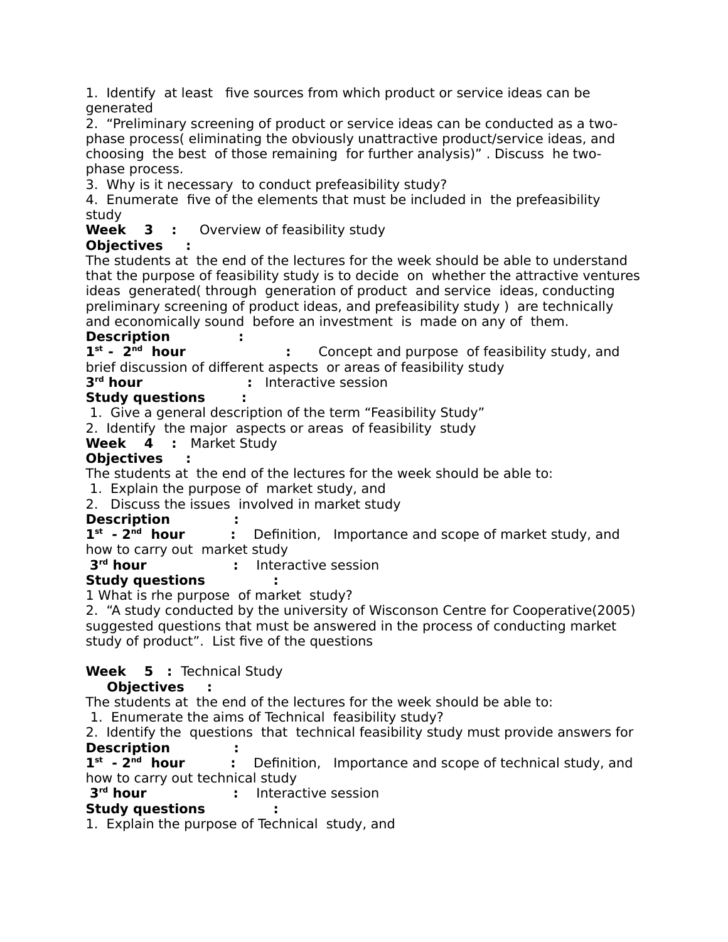1. Identify at least five sources from which product or service ideas can be generated

2. "Preliminary screening of product or service ideas can be conducted as a twophase process( eliminating the obviously unattractive product/service ideas, and choosing the best of those remaining for further analysis)" . Discuss he twophase process.

3. Why is it necessary to conduct prefeasibility study?

4. Enumerate five of the elements that must be included in the prefeasibility study

**Week 3 :** Overview of feasibility study

# **Objectives :**

The students at the end of the lectures for the week should be able to understand that the purpose of feasibility study is to decide on whether the attractive ventures ideas generated( through generation of product and service ideas, conducting preliminary screening of product ideas, and prefeasibility study ) are technically and economically sound before an investment is made on any of them.

## **Description :**

 $1^{st}$  -  $2^{nd}$  hour **:** Concept and purpose of feasibility study, and brief discussion of different aspects or areas of feasibility study

3<sup>rd</sup> hour *r* Interactive session

# **Study questions :**

1. Give a general description of the term "Feasibility Study"

2. Identify the major aspects or areas of feasibility study

**Week 4 :** Market Study

# **Objectives :**

The students at the end of the lectures for the week should be able to:

1. Explain the purpose of market study, and

2. Discuss the issues involved in market study

# **Description :**

 $1^{\text{st}}$  -  $2^{\text{nd}}$  hour **:** Definition, Importance and scope of market study, and how to carry out market study

3<sup>rd</sup> hour *r* Interactive session

# **Study questions :**

1 What is rhe purpose of market study?

2. "A study conducted by the university of Wisconson Centre for Cooperative(2005) suggested questions that must be answered in the process of conducting market study of product". List five of the questions

# **Week 5 :** Technical Study

# **Objectives :**

The students at the end of the lectures for the week should be able to:

1. Enumerate the aims of Technical feasibility study?

2. Identify the questions that technical feasibility study must provide answers for **Description :**

 $1^{st}$  -  $2^{nd}$  hour **EX** Definition, Importance and scope of technical study, and how to carry out technical study

3<sup>rd</sup> hour **:** Interactive session

# **Study questions :**

1. Explain the purpose of Technical study, and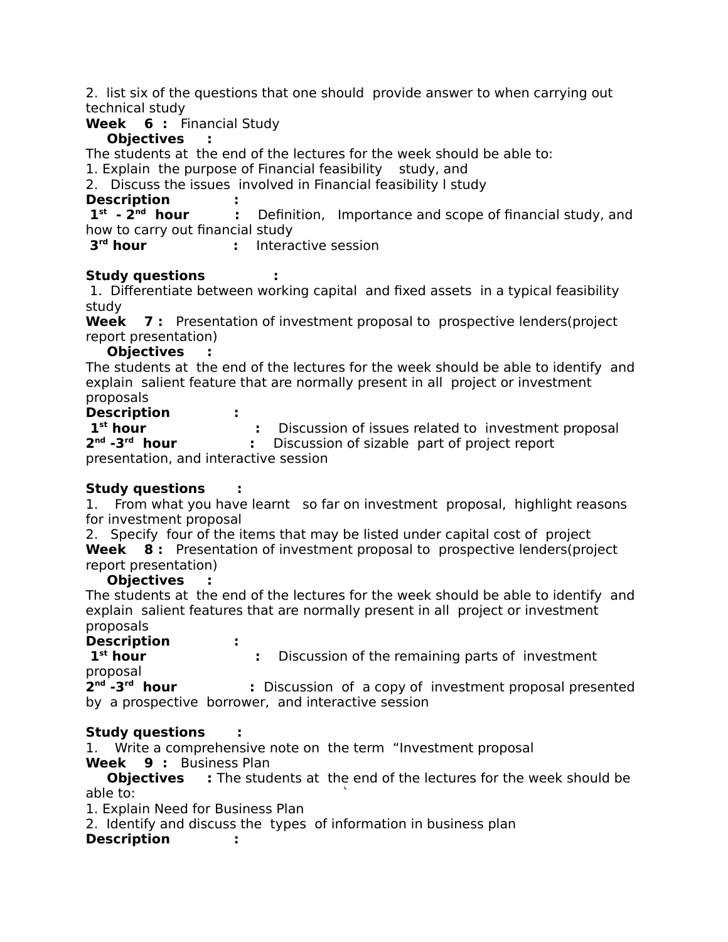2. list six of the questions that one should provide answer to when carrying out technical study

**Week 6 :** Financial Study

# **Objectives :**

The students at the end of the lectures for the week should be able to:

1. Explain the purpose of Financial feasibility study, and

2. Discuss the issues involved in Financial feasibility l study

# **Description :**

 $1^{\text{st}}$  -  $2^{\text{nd}}$  hour **:** Definition, Importance and scope of financial study, and how to carry out financial study

3<sup>rd</sup> hour *r* Interactive session

# **Study questions :**

 1. Differentiate between working capital and fixed assets in a typical feasibility study

**Week 7 :** Presentation of investment proposal to prospective lenders(project report presentation)

## **Objectives :**

The students at the end of the lectures for the week should be able to identify and explain salient feature that are normally present in all project or investment proposals

**Description :**

**1<sup>st</sup> hour** : Discussion of issues related to investment proposal  $2^{nd}$  - $3^{rd}$  hour **:** Discussion of sizable part of project report presentation, and interactive session

# **Study questions :**

1. From what you have learnt so far on investment proposal, highlight reasons for investment proposal

2. Specify four of the items that may be listed under capital cost of project **Week 8 :** Presentation of investment proposal to prospective lenders(project report presentation)

### **Objectives :**

The students at the end of the lectures for the week should be able to identify and explain salient features that are normally present in all project or investment proposals

**Description :**

**:** Discussion of the remaining parts of investment

proposal

 $2^{nd}$  -3 $^{rd}$  hour **:** Discussion of a copy of investment proposal presented

by a prospective borrower, and interactive session

# **Study questions :**

1. Write a comprehensive note on the term "Investment proposal **Week 9 :** Business Plan

**Objectives** : The students at the end of the lectures for the week should be able to: `

1. Explain Need for Business Plan

2. Identify and discuss the types of information in business plan

# **Description :**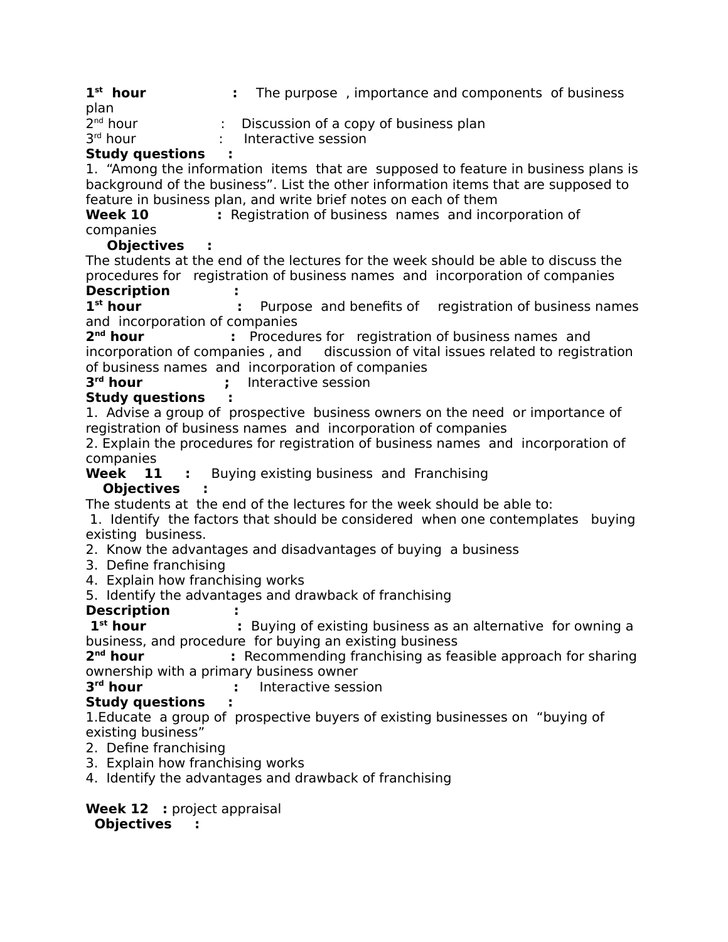$1^{\text{st}}$  hour **:** The purpose, importance and components of business plan

| Study questions      |                                       |
|----------------------|---------------------------------------|
| $3rd$ hour           | Interactive session                   |
| 2 <sup>nd</sup> hour | Discussion of a copy of business plan |

## **Study questions :**

1. "Among the information items that are supposed to feature in business plans is background of the business". List the other information items that are supposed to feature in business plan, and write brief notes on each of them

**Week 10** : Registration of business names and incorporation of companies

**Objectives :**

The students at the end of the lectures for the week should be able to discuss the procedures for registration of business names and incorporation of companies **Description :** 

1<sup>st</sup> hour **st hour :** Purpose and benefits ofregistration of business names and incorporation of companies

2<sup>nd</sup> hour **Procedures for registration of business names and** incorporation of companies, and discussion of vital issues related to registration of business names and incorporation of companies

#### 3<sup>rd</sup> hour **;** Interactive session

# **Study questions :**

1. Advise a group of prospective business owners on the need or importance of registration of business names and incorporation of companies

2. Explain the procedures for registration of business names and incorporation of companies

**Week 11 :** Buying existing business and Franchising

# **Objectives :**

The students at the end of the lectures for the week should be able to:

 1. Identify the factors that should be considered when one contemplates buying existing business.

2. Know the advantages and disadvantages of buying a business

- 3. Define franchising
- 4. Explain how franchising works
- 5. Identify the advantages and drawback of franchising

# **Description :**

**1<sup>st</sup> hour** : Buying of existing business as an alternative for owning a business, and procedure for buying an existing business

2<sup>nd</sup> hour **EXECOMMENDING** franchising as feasible approach for sharing ownership with a primary business owner

3<sup>rd</sup> hour *r* Interactive session

# **Study questions :**

1.Educate a group of prospective buyers of existing businesses on "buying of existing business"

- 2. Define franchising
- 3. Explain how franchising works

4. Identify the advantages and drawback of franchising

**Week 12 :** project appraisal  **Objectives :**